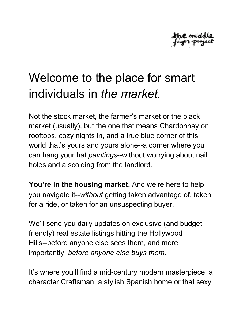

## Welcome to the place for smart individuals in *the market.*

Not the stock market, the farmer's market or the black market (usually), but the one that means Chardonnay on rooftops, cozy nights in, and a true blue corner of this world that's yours and yours alone--a corner where you can hang your hat *paintings*--without worrying about nail holes and a scolding from the landlord.

**You're in the housing market.** And we're here to help you navigate it--without getting taken advantage of, taken for a ride, or taken for an unsuspecting buyer.

We'll send you daily updates on exclusive (and budget friendly) real estate listings hitting the Hollywood Hills--before anyone else sees them, and more importantly, *before anyone else buys them.*

It's where you'll find a mid-century modern masterpiece, a character Craftsman, a stylish Spanish home or that sexy